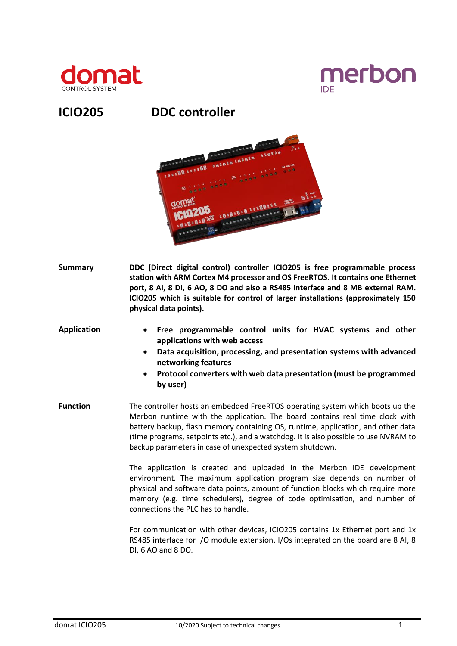



# **ICIO205 DDC controller**



- **Summary DDC (Direct digital control) controller ICIO205 is free programmable process station with ARM Cortex M4 processor and OS FreeRTOS. It contains one Ethernet port, 8 AI, 8 DI, 6 AO, 8 DO and also a RS485 interface and 8 MB external RAM. ICIO205 which is suitable for control of larger installations (approximately 150 physical data points).**
- **Application Free programmable control units for HVAC systems and other applications with web access**
	- **Data acquisition, processing, and presentation systems with advanced networking features**
	- **Protocol converters with web data presentation (must be programmed by user)**
- **Function** The controller hosts an embedded FreeRTOS operating system which boots up the Merbon runtime with the application. The board contains real time clock with battery backup, flash memory containing OS, runtime, application, and other data (time programs, setpoints etc.), and a watchdog. It is also possible to use NVRAM to backup parameters in case of unexpected system shutdown.

The application is created and uploaded in the Merbon IDE development environment. The maximum application program size depends on number of physical and software data points, amount of function blocks which require more memory (e.g. time schedulers), degree of code optimisation, and number of connections the PLC has to handle.

For communication with other devices, ICIO205 contains 1x Ethernet port and 1x RS485 interface for I/O module extension. I/Os integrated on the board are 8 AI, 8 DI, 6 AO and 8 DO.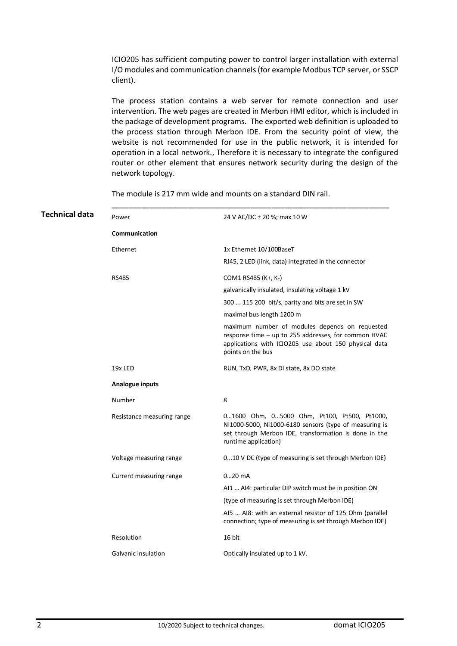ICIO205 has sufficient computing power to control larger installation with external I/O modules and communication channels (for example Modbus TCP server, or SSCP client).

The process station contains a web server for remote connection and user intervention. The web pages are created in Merbon HMI editor, which is included in the package of development programs. The exported web definition is uploaded to the process station through Merbon IDE. From the security point of view, the website is not recommended for use in the public network, it is intended for operation in a local network., Therefore it is necessary to integrate the configured router or other element that ensures network security during the design of the network topology.

\_\_\_\_\_\_\_\_\_\_\_\_\_\_\_\_\_\_\_\_\_\_\_\_\_\_\_\_\_\_\_\_\_\_\_\_\_\_\_\_\_\_\_\_\_\_\_\_\_\_\_\_\_\_\_\_\_\_\_\_\_\_\_\_\_\_

| Technical data | Power                      | 24 V AC/DC ± 20 %; max 10 W                                                                                                                                                            |
|----------------|----------------------------|----------------------------------------------------------------------------------------------------------------------------------------------------------------------------------------|
|                | Communication              |                                                                                                                                                                                        |
|                | Ethernet                   | 1x Ethernet 10/100BaseT                                                                                                                                                                |
|                |                            | RJ45, 2 LED (link, data) integrated in the connector                                                                                                                                   |
|                | <b>RS485</b>               | COM1 RS485 (K+, K-)                                                                                                                                                                    |
|                |                            | galvanically insulated, insulating voltage 1 kV                                                                                                                                        |
|                |                            | 300  115 200 bit/s, parity and bits are set in SW                                                                                                                                      |
|                |                            | maximal bus length 1200 m                                                                                                                                                              |
|                |                            | maximum number of modules depends on requested<br>response time - up to 255 addresses, for common HVAC<br>applications with ICIO205 use about 150 physical data<br>points on the bus   |
|                | 19x LED                    | RUN, TxD, PWR, 8x DI state, 8x DO state                                                                                                                                                |
|                | Analogue inputs            |                                                                                                                                                                                        |
|                | Number                     | 8                                                                                                                                                                                      |
|                | Resistance measuring range | 01600 Ohm, 05000 Ohm, Pt100, Pt500, Pt1000,<br>Ni1000-5000, Ni1000-6180 sensors (type of measuring is<br>set through Merbon IDE, transformation is done in the<br>runtime application) |
|                | Voltage measuring range    | 010 V DC (type of measuring is set through Merbon IDE)                                                                                                                                 |
|                | Current measuring range    | $020$ mA                                                                                                                                                                               |
|                |                            | AI1  AI4: particular DIP switch must be in position ON                                                                                                                                 |
|                |                            | (type of measuring is set through Merbon IDE)                                                                                                                                          |
|                |                            | AI5  AI8: with an external resistor of 125 Ohm (parallel<br>connection; type of measuring is set through Merbon IDE)                                                                   |
|                | Resolution                 | 16 bit                                                                                                                                                                                 |
|                | Galvanic insulation        | Optically insulated up to 1 kV.                                                                                                                                                        |
|                |                            |                                                                                                                                                                                        |

The module is 217 mm wide and mounts on a standard DIN rail.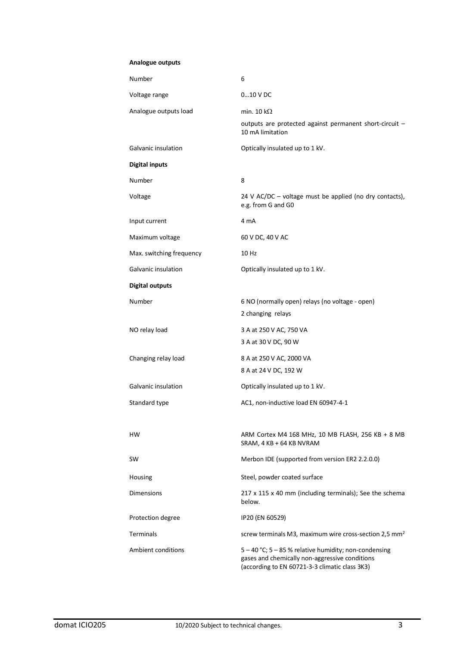#### **Analogue outputs**

| Number                   | 6                                                                                                                                                         |
|--------------------------|-----------------------------------------------------------------------------------------------------------------------------------------------------------|
| Voltage range            | $010$ V DC                                                                                                                                                |
| Analogue outputs load    | min. 10 k $\Omega$                                                                                                                                        |
|                          | outputs are protected against permanent short-circuit -<br>10 mA limitation                                                                               |
| Galvanic insulation      | Optically insulated up to 1 kV.                                                                                                                           |
| <b>Digital inputs</b>    |                                                                                                                                                           |
| Number                   | 8                                                                                                                                                         |
| Voltage                  | 24 V AC/DC – voltage must be applied (no dry contacts),<br>e.g. from G and G0                                                                             |
| Input current            | 4 mA                                                                                                                                                      |
| Maximum voltage          | 60 V DC, 40 V AC                                                                                                                                          |
| Max. switching frequency | 10 Hz                                                                                                                                                     |
| Galvanic insulation      | Optically insulated up to 1 kV.                                                                                                                           |
| <b>Digital outputs</b>   |                                                                                                                                                           |
| Number                   | 6 NO (normally open) relays (no voltage - open)<br>2 changing relays                                                                                      |
| NO relay load            | 3 A at 250 V AC, 750 VA                                                                                                                                   |
|                          | 3 A at 30 V DC, 90 W                                                                                                                                      |
| Changing relay load      | 8 A at 250 V AC, 2000 VA                                                                                                                                  |
|                          | 8 A at 24 V DC, 192 W                                                                                                                                     |
| Galvanic insulation      | Optically insulated up to 1 kV.                                                                                                                           |
| Standard type            | AC1, non-inductive load EN 60947-4-1                                                                                                                      |
| HW                       | ARM Cortex M4 168 MHz, 10 MB FLASH, 256 KB + 8 MB<br>SRAM, 4 KB + 64 KB NVRAM                                                                             |
| SW                       | Merbon IDE (supported from version ER2 2.2.0.0)                                                                                                           |
| Housing                  | Steel, powder coated surface                                                                                                                              |
| <b>Dimensions</b>        | 217 x 115 x 40 mm (including terminals); See the schema<br>below.                                                                                         |
| Protection degree        | IP20 (EN 60529)                                                                                                                                           |
| <b>Terminals</b>         | screw terminals M3, maximum wire cross-section 2,5 mm <sup>2</sup>                                                                                        |
| Ambient conditions       | 5 - 40 °C; 5 - 85 % relative humidity; non-condensing<br>gases and chemically non-aggressive conditions<br>(according to EN 60721-3-3 climatic class 3K3) |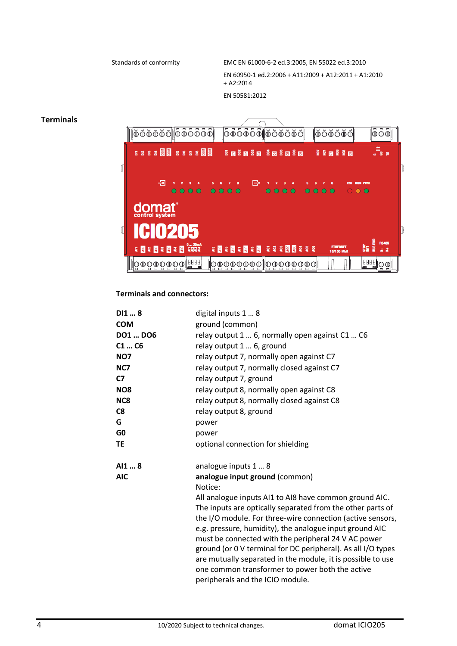Standards of conformity EMC EN 61000-6-2 ed.3:2005, EN 55022 ed.3:2010 EN 60950-1 ed.2:2006 + A11:2009 + A12:2011 + A1:2010 + A2:2014 EN 50581:2012

## **Terminals**



# **Terminals and connectors:**

| DI18<br><b>COM</b> | digital inputs 1  8<br>ground (common)                                                                         |
|--------------------|----------------------------------------------------------------------------------------------------------------|
| DO1  DO6           | relay output 1  6, normally open against C1  C6                                                                |
| C1C6               | relay output 1  6, ground                                                                                      |
| <b>NO7</b>         | relay output 7, normally open against C7                                                                       |
| NC7                | relay output 7, normally closed against C7                                                                     |
| C7                 | relay output 7, ground                                                                                         |
| NO <sub>8</sub>    | relay output 8, normally open against C8                                                                       |
| NC8                | relay output 8, normally closed against C8                                                                     |
| C8                 | relay output 8, ground                                                                                         |
| G                  | power                                                                                                          |
| G0                 | power                                                                                                          |
| ΤE                 | optional connection for shielding                                                                              |
| AI1  8             | analogue inputs 1  8                                                                                           |
| <b>AIC</b>         | analogue input ground (common)                                                                                 |
|                    | Notice:                                                                                                        |
|                    | All analogue inputs AI1 to AI8 have common ground AIC.                                                         |
|                    | The inputs are optically separated from the other parts of                                                     |
|                    | the I/O module. For three-wire connection (active sensors,                                                     |
|                    | e.g. pressure, humidity), the analogue input ground AIC                                                        |
|                    | must be connected with the peripheral 24 V AC power                                                            |
|                    | ground (or 0 V terminal for DC peripheral). As all I/O types                                                   |
|                    | are mutually separated in the module, it is possible to use<br>one common transformer to power both the active |
|                    | peripherals and the ICIO module.                                                                               |
|                    |                                                                                                                |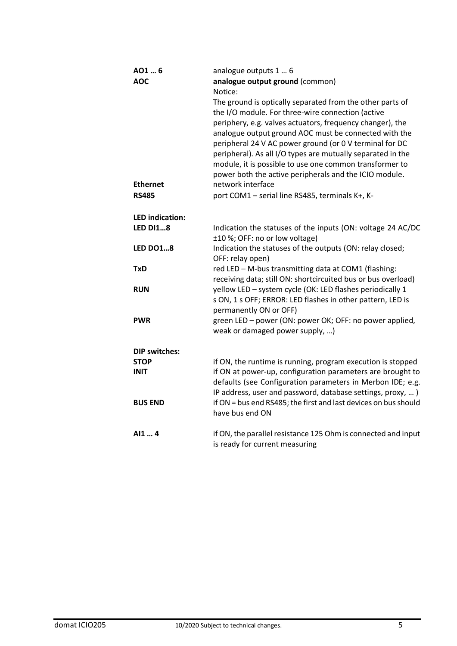| AO1  6                 | analogue outputs 1  6                                           |
|------------------------|-----------------------------------------------------------------|
| <b>AOC</b>             | analogue output ground (common)                                 |
|                        | Notice:                                                         |
|                        | The ground is optically separated from the other parts of       |
|                        | the I/O module. For three-wire connection (active               |
|                        | periphery, e.g. valves actuators, frequency changer), the       |
|                        | analogue output ground AOC must be connected with the           |
|                        | peripheral 24 V AC power ground (or 0 V terminal for DC         |
|                        | peripheral). As all I/O types are mutually separated in the     |
|                        | module, it is possible to use one common transformer to         |
|                        | power both the active peripherals and the ICIO module.          |
| <b>Ethernet</b>        | network interface                                               |
| <b>RS485</b>           | port COM1 - serial line RS485, terminals K+, K-                 |
| <b>LED</b> indication: |                                                                 |
| <b>LED DI18</b>        | Indication the statuses of the inputs (ON: voltage 24 AC/DC     |
|                        | ±10 %; OFF: no or low voltage)                                  |
| <b>LED DO18</b>        | Indication the statuses of the outputs (ON: relay closed;       |
|                        | OFF: relay open)                                                |
| <b>TxD</b>             | red LED - M-bus transmitting data at COM1 (flashing:            |
|                        | receiving data; still ON: shortcircuited bus or bus overload)   |
| <b>RUN</b>             | yellow LED - system cycle (OK: LED flashes periodically 1       |
|                        | s ON, 1 s OFF; ERROR: LED flashes in other pattern, LED is      |
|                        | permanently ON or OFF)                                          |
| <b>PWR</b>             | green LED - power (ON: power OK; OFF: no power applied,         |
|                        | weak or damaged power supply, )                                 |
| <b>DIP switches:</b>   |                                                                 |
| <b>STOP</b>            | if ON, the runtime is running, program execution is stopped     |
| <b>INIT</b>            | if ON at power-up, configuration parameters are brought to      |
|                        | defaults (see Configuration parameters in Merbon IDE; e.g.      |
|                        | IP address, user and password, database settings, proxy, )      |
| <b>BUS END</b>         | if ON = bus end RS485; the first and last devices on bus should |
|                        | have bus end ON                                                 |
| AI1  4                 | if ON, the parallel resistance 125 Ohm is connected and input   |
|                        | is ready for current measuring                                  |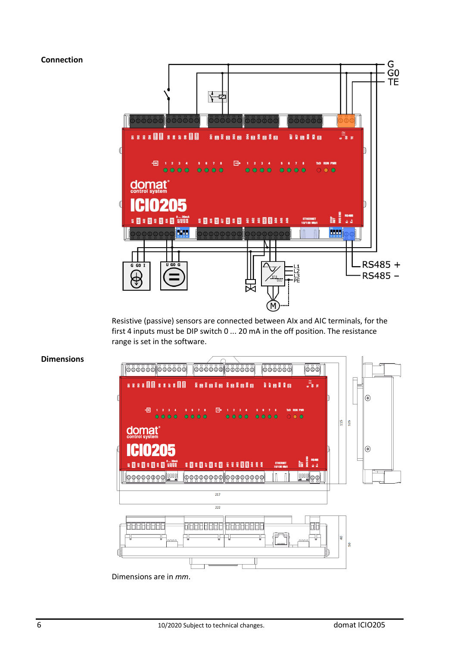# **Connection**



Resistive (passive) sensors are connected between AIx and AIC terminals, for the first 4 inputs must be DIP switch 0 ... 20 mA in the off position. The resistance range is set in the software.



### **Dimensions**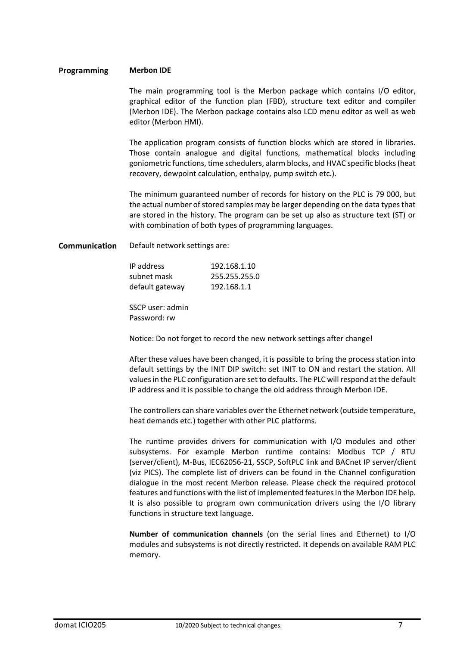### **Programming Merbon IDE**

The main programming tool is the Merbon package which contains I/O editor, graphical editor of the function plan (FBD), structure text editor and compiler (Merbon IDE). The Merbon package contains also LCD menu editor as well as web editor (Merbon HMI).

The application program consists of function blocks which are stored in libraries. Those contain analogue and digital functions, mathematical blocks including goniometric functions, time schedulers, alarm blocks, and HVAC specific blocks (heat recovery, dewpoint calculation, enthalpy, pump switch etc.).

The minimum guaranteed number of records for history on the PLC is 79 000, but the actual number of stored samples may be larger depending on the data types that are stored in the history. The program can be set up also as structure text (ST) or with combination of both types of programming languages.

**Communication** Default network settings are:

| IP address      | 192.168.1.10  |
|-----------------|---------------|
| subnet mask     | 255.255.255.0 |
| default gateway | 192.168.1.1   |

SSCP user: admin Password: rw

Notice: Do not forget to record the new network settings after change!

After these values have been changed, it is possible to bring the process station into default settings by the INIT DIP switch: set INIT to ON and restart the station. All values in the PLC configuration are set to defaults. The PLC will respond at the default IP address and it is possible to change the old address through Merbon IDE.

The controllers can share variables over the Ethernet network (outside temperature, heat demands etc.) together with other PLC platforms.

The runtime provides drivers for communication with I/O modules and other subsystems. For example Merbon runtime contains: Modbus TCP / RTU (server/client), M-Bus, IEC62056-21, SSCP, SoftPLC link and BACnet IP server/client (viz PICS). The complete list of drivers can be found in the Channel configuration dialogue in the most recent Merbon release. Please check the required protocol features and functions with the list of implemented features in the Merbon IDE help. It is also possible to program own communication drivers using the I/O library functions in structure text language.

**Number of communication channels** (on the serial lines and Ethernet) to I/O modules and subsystems is not directly restricted. It depends on available RAM PLC memory.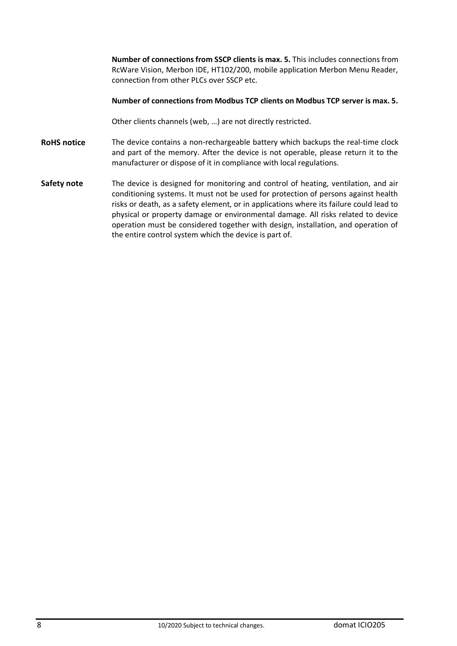|                    | <b>Number of connections from SSCP clients is max. 5.</b> This includes connections from<br>RcWare Vision, Merbon IDE, HT102/200, mobile application Merbon Menu Reader,<br>connection from other PLCs over SSCP etc.                                                                                                                                                                                                                                                                                  |
|--------------------|--------------------------------------------------------------------------------------------------------------------------------------------------------------------------------------------------------------------------------------------------------------------------------------------------------------------------------------------------------------------------------------------------------------------------------------------------------------------------------------------------------|
|                    | Number of connections from Modbus TCP clients on Modbus TCP server is max. 5.                                                                                                                                                                                                                                                                                                                                                                                                                          |
|                    | Other clients channels (web, ) are not directly restricted.                                                                                                                                                                                                                                                                                                                                                                                                                                            |
| <b>RoHS</b> notice | The device contains a non-rechargeable battery which backups the real-time clock<br>and part of the memory. After the device is not operable, please return it to the<br>manufacturer or dispose of it in compliance with local regulations.                                                                                                                                                                                                                                                           |
| Safety note        | The device is designed for monitoring and control of heating, ventilation, and air<br>conditioning systems. It must not be used for protection of persons against health<br>risks or death, as a safety element, or in applications where its failure could lead to<br>physical or property damage or environmental damage. All risks related to device<br>operation must be considered together with design, installation, and operation of<br>the entire control system which the device is part of. |